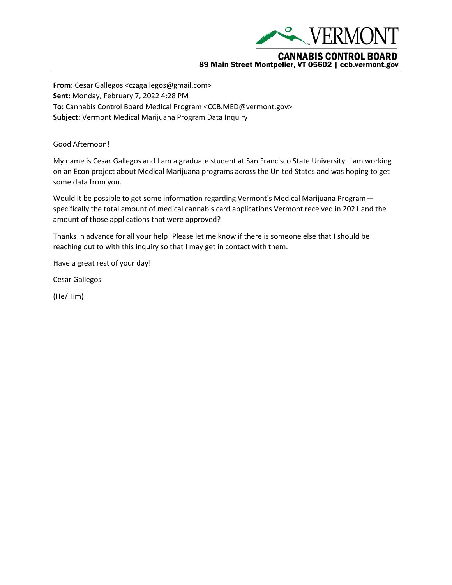

**From:** Cesar Gallegos <czagallegos@gmail.com> **Sent:** Monday, February 7, 2022 4:28 PM **To:** Cannabis Control Board Medical Program <CCB.MED@vermont.gov> **Subject:** Vermont Medical Marijuana Program Data Inquiry

Good Afternoon!

My name is Cesar Gallegos and I am a graduate student at San Francisco State University. I am working on an Econ project about Medical Marijuana programs across the United States and was hoping to get some data from you.

Would it be possible to get some information regarding Vermont's Medical Marijuana Program specifically the total amount of medical cannabis card applications Vermont received in 2021 and the amount of those applications that were approved?

Thanks in advance for all your help! Please let me know if there is someone else that I should be reaching out to with this inquiry so that I may get in contact with them.

Have a great rest of your day!

Cesar Gallegos

(He/Him)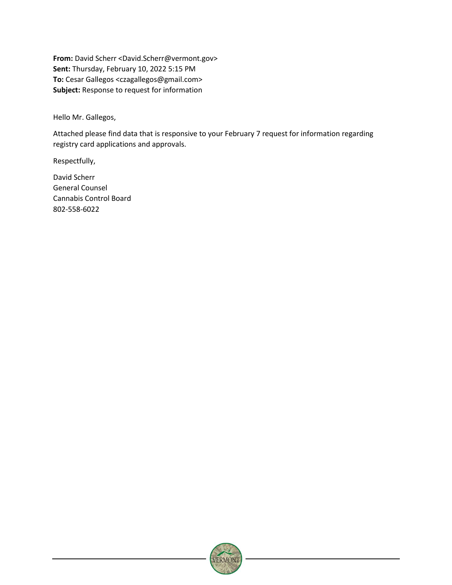**From:** David Scherr <David.Scherr@vermont.gov> **Sent:** Thursday, February 10, 2022 5:15 PM **To:** Cesar Gallegos <czagallegos@gmail.com> **Subject:** Response to request for information

Hello Mr. Gallegos,

Attached please find data that is responsive to your February 7 request for information regarding registry card applications and approvals.

Respectfully,

David Scherr General Counsel Cannabis Control Board 802-558-6022